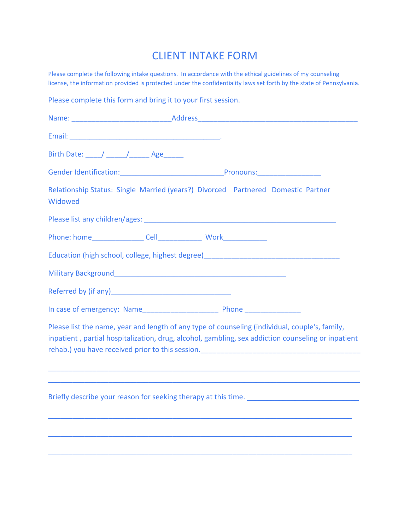## CLIENT INTAKE FORM

Please complete the following intake questions. In accordance with the ethical guidelines of my counseling license, the information provided is protected under the confidentiality laws set forth by the state of Pennsylvania.

Please complete this form and bring it to your first session.

| Birth Date: // // Age |                                                                                                                                                                                                                                                                                                                                                                                                                                                              |
|-----------------------|--------------------------------------------------------------------------------------------------------------------------------------------------------------------------------------------------------------------------------------------------------------------------------------------------------------------------------------------------------------------------------------------------------------------------------------------------------------|
|                       |                                                                                                                                                                                                                                                                                                                                                                                                                                                              |
| Widowed               | Relationship Status: Single Married (years?) Divorced Partnered Domestic Partner                                                                                                                                                                                                                                                                                                                                                                             |
|                       | Please list any children/ages: Manual According to the Contractor of the Contractor of the Contractor of the Contractor of the Contractor of the Contractor of the Contractor of the Contractor of the Contractor of the Contr                                                                                                                                                                                                                               |
|                       |                                                                                                                                                                                                                                                                                                                                                                                                                                                              |
|                       | Education (high school, college, highest degree) [19] [2012] [2012] [2012] [2012] [2012] [2012] [2012] [2012] [                                                                                                                                                                                                                                                                                                                                              |
|                       |                                                                                                                                                                                                                                                                                                                                                                                                                                                              |
|                       |                                                                                                                                                                                                                                                                                                                                                                                                                                                              |
|                       |                                                                                                                                                                                                                                                                                                                                                                                                                                                              |
|                       | Please list the name, year and length of any type of counseling (individual, couple's, family,<br>inpatient, partial hospitalization, drug, alcohol, gambling, sex addiction counseling or inpatient<br>rehab.) you have received prior to this session. [10] production and the received prior to this session. [10] $\frac{1}{2}$<br><u> 1989 - Johann Stoff, deutscher Stoff, der Stoff, der Stoff, der Stoff, der Stoff, der Stoff, der Stoff, der S</u> |
|                       |                                                                                                                                                                                                                                                                                                                                                                                                                                                              |
|                       |                                                                                                                                                                                                                                                                                                                                                                                                                                                              |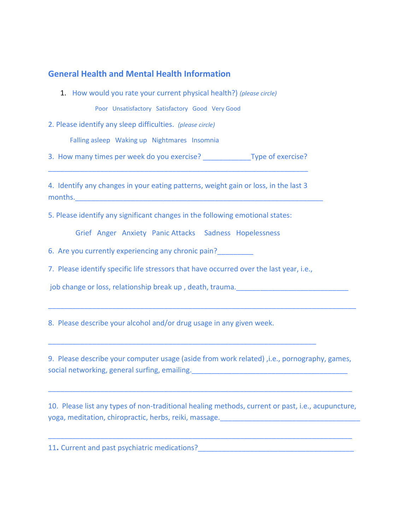## **General Health and Mental Health Information**

1. How would you rate your current physical health?) *(please circle)*

Poor Unsatisfactory Satisfactory Good Very Good

2. Please identify any sleep difficulties. *(please circle)*

Falling asleep Waking up Nightmares Insomnia

3. How many times per week do you exercise? \_\_\_\_\_\_\_\_\_\_\_\_Type of exercise? \_\_\_\_\_\_\_\_\_\_\_\_\_\_\_\_\_\_\_\_\_\_\_\_\_\_\_\_\_\_\_\_\_\_\_\_\_\_\_\_\_\_\_\_\_\_\_\_\_\_\_\_\_\_\_\_\_\_\_\_\_\_\_\_\_

4. Identify any changes in your eating patterns, weight gain or loss, in the last 3 months.

5. Please identify any significant changes in the following emotional states:

Grief Anger Anxiety Panic Attacks Sadness Hopelessness

6. Are you currently experiencing any chronic pain?

7. Please identify specific life stressors that have occurred over the last year, i.e.,

\_\_\_\_\_\_\_\_\_\_\_\_\_\_\_\_\_\_\_\_\_\_\_\_\_\_\_\_\_\_\_\_\_\_\_\_\_\_\_\_\_\_\_\_\_\_\_\_\_\_\_\_\_\_\_\_\_\_\_\_\_\_\_\_\_\_\_

job change or loss, relationship break up , death, trauma.\_\_\_\_\_\_\_\_\_\_\_\_\_\_\_\_\_\_\_\_\_\_\_\_\_\_\_\_

8. Please describe your alcohol and/or drug usage in any given week.

9. Please describe your computer usage (aside from work related) ,i.e., pornography, games, social networking, general surfing, emailing. **Example 20** and the contract of the contract of the contract of the contract of the contract of the contract of the contract of the contract of the contract of the contract of

\_\_\_\_\_\_\_\_\_\_\_\_\_\_\_\_\_\_\_\_\_\_\_\_\_\_\_\_\_\_\_\_\_\_\_\_\_\_\_\_\_\_\_\_\_\_\_\_\_\_\_\_\_\_\_\_\_\_\_\_\_\_\_\_\_\_\_\_\_\_\_\_\_\_\_\_

\_\_\_\_\_\_\_\_\_\_\_\_\_\_\_\_\_\_\_\_\_\_\_\_\_\_\_\_\_\_\_\_\_\_\_\_\_\_\_\_\_\_\_\_\_\_\_\_\_\_\_\_\_\_\_\_\_\_\_\_\_\_\_\_\_\_\_\_\_\_\_\_\_\_\_\_\_

10. Please list any types of non-traditional healing methods, current or past, i.e., acupuncture, yoga, meditation, chiropractic, herbs, reiki, massage.

\_\_\_\_\_\_\_\_\_\_\_\_\_\_\_\_\_\_\_\_\_\_\_\_\_\_\_\_\_\_\_\_\_\_\_\_\_\_\_\_\_\_\_\_\_\_\_\_\_\_\_\_\_\_\_\_\_\_\_\_\_\_\_\_\_\_\_\_\_\_\_\_\_\_\_\_

11**.** Current and past psychiatric medications?\_\_\_\_\_\_\_\_\_\_\_\_\_\_\_\_\_\_\_\_\_\_\_\_\_\_\_\_\_\_\_\_\_\_\_\_\_\_\_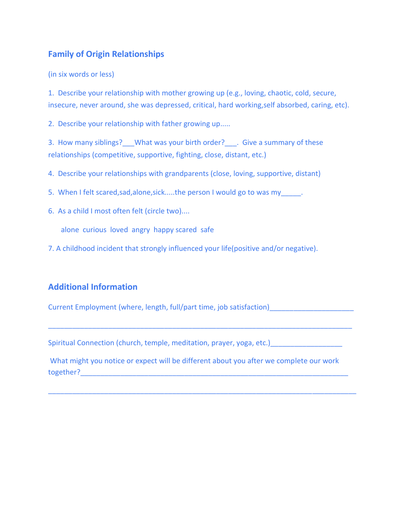## **Family of Origin Relationships**

(in six words or less)

1. Describe your relationship with mother growing up (e.g., loving, chaotic, cold, secure, insecure, never around, she was depressed, critical, hard working,self absorbed, caring, etc).

2. Describe your relationship with father growing up.....

3. How many siblings? What was your birth order? . Give a summary of these relationships (competitive, supportive, fighting, close, distant, etc.)

4. Describe your relationships with grandparents (close, loving, supportive, distant)

- 5. When I felt scared, sad, alone, sick.....the person I would go to was my
- 6. As a child I most often felt (circle two)....

alone curious loved angry happy scared safe

7. A childhood incident that strongly influenced your life(positive and/or negative).

## **Additional Information**

Current Employment (where, length, full/part time, job satisfaction)

Spiritual Connection (church, temple, meditation, prayer, yoga, etc.)

\_\_\_\_\_\_\_\_\_\_\_\_\_\_\_\_\_\_\_\_\_\_\_\_\_\_\_\_\_\_\_\_\_\_\_\_\_\_\_\_\_\_\_\_\_\_\_\_\_\_\_\_\_\_\_\_\_\_\_\_\_\_\_\_\_\_\_\_\_\_\_\_\_\_\_\_

What might you notice or expect will be different about you after we complete our work together?

\_\_\_\_\_\_\_\_\_\_\_\_\_\_\_\_\_\_\_\_\_\_\_\_\_\_\_\_\_\_\_\_\_\_\_\_\_\_\_\_\_\_\_\_\_\_\_\_\_\_\_\_\_\_\_\_\_\_\_\_\_\_\_\_\_\_\_\_\_\_\_\_\_\_\_\_\_